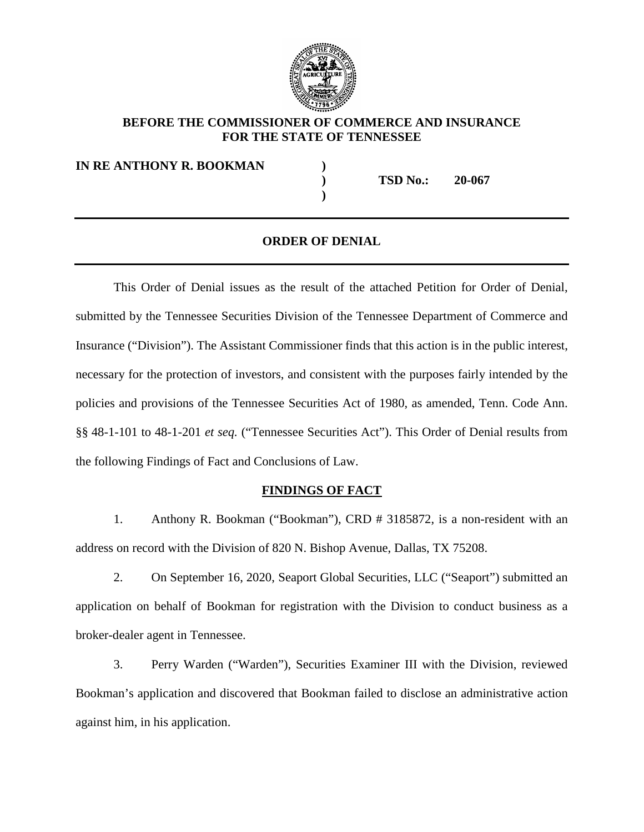

### **BEFORE THE COMMISSIONER OF COMMERCE AND INSURANCE FOR THE STATE OF TENNESSEE**

**IN RE ANTHONY R. BOOKMAN )**

**) TSD No.: 20-067**

#### **ORDER OF DENIAL**

**)** 

This Order of Denial issues as the result of the attached Petition for Order of Denial, submitted by the Tennessee Securities Division of the Tennessee Department of Commerce and Insurance ("Division"). The Assistant Commissioner finds that this action is in the public interest, necessary for the protection of investors, and consistent with the purposes fairly intended by the policies and provisions of the Tennessee Securities Act of 1980, as amended, Tenn. Code Ann. §§ 48-1-101 to 48-1-201 *et seq.* ("Tennessee Securities Act"). This Order of Denial results from the following Findings of Fact and Conclusions of Law.

#### **FINDINGS OF FACT**

1. Anthony R. Bookman ("Bookman"), CRD # 3185872, is a non-resident with an address on record with the Division of 820 N. Bishop Avenue, Dallas, TX 75208.

2. On September 16, 2020, Seaport Global Securities, LLC ("Seaport") submitted an application on behalf of Bookman for registration with the Division to conduct business as a broker-dealer agent in Tennessee.

3. Perry Warden ("Warden"), Securities Examiner III with the Division, reviewed Bookman's application and discovered that Bookman failed to disclose an administrative action against him, in his application.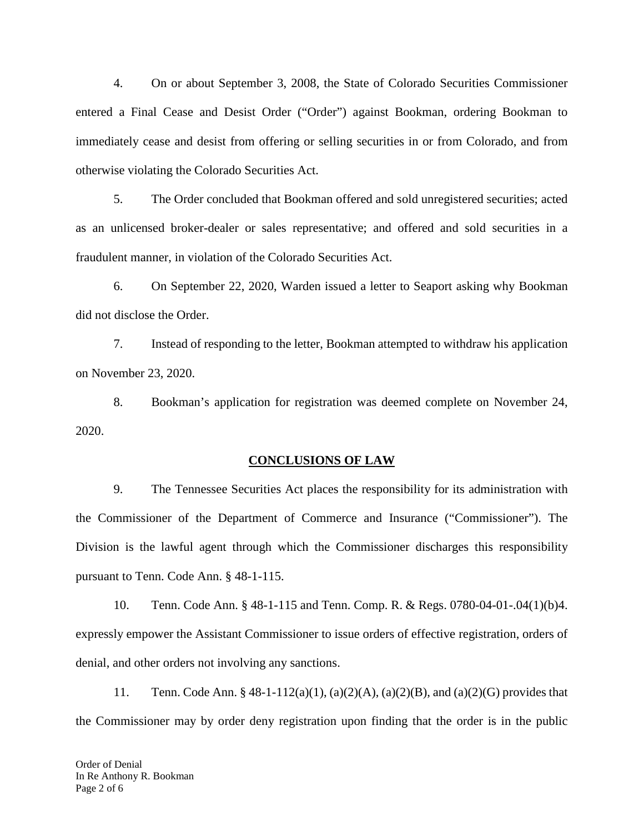4. On or about September 3, 2008, the State of Colorado Securities Commissioner entered a Final Cease and Desist Order ("Order") against Bookman, ordering Bookman to immediately cease and desist from offering or selling securities in or from Colorado, and from otherwise violating the Colorado Securities Act.

5. The Order concluded that Bookman offered and sold unregistered securities; acted as an unlicensed broker-dealer or sales representative; and offered and sold securities in a fraudulent manner, in violation of the Colorado Securities Act.

6. On September 22, 2020, Warden issued a letter to Seaport asking why Bookman did not disclose the Order.

7. Instead of responding to the letter, Bookman attempted to withdraw his application on November 23, 2020.

8. Bookman's application for registration was deemed complete on November 24, 2020.

#### **CONCLUSIONS OF LAW**

9. The Tennessee Securities Act places the responsibility for its administration with the Commissioner of the Department of Commerce and Insurance ("Commissioner"). The Division is the lawful agent through which the Commissioner discharges this responsibility pursuant to Tenn. Code Ann. § 48-1-115.

10. Tenn. Code Ann. § 48-1-115 and Tenn. Comp. R. & Regs. 0780-04-01-.04(1)(b)4. expressly empower the Assistant Commissioner to issue orders of effective registration, orders of denial, and other orders not involving any sanctions.

11. Tenn. Code Ann. § 48-1-112(a)(1), (a)(2)(A), (a)(2)(B), and (a)(2)(G) provides that the Commissioner may by order deny registration upon finding that the order is in the public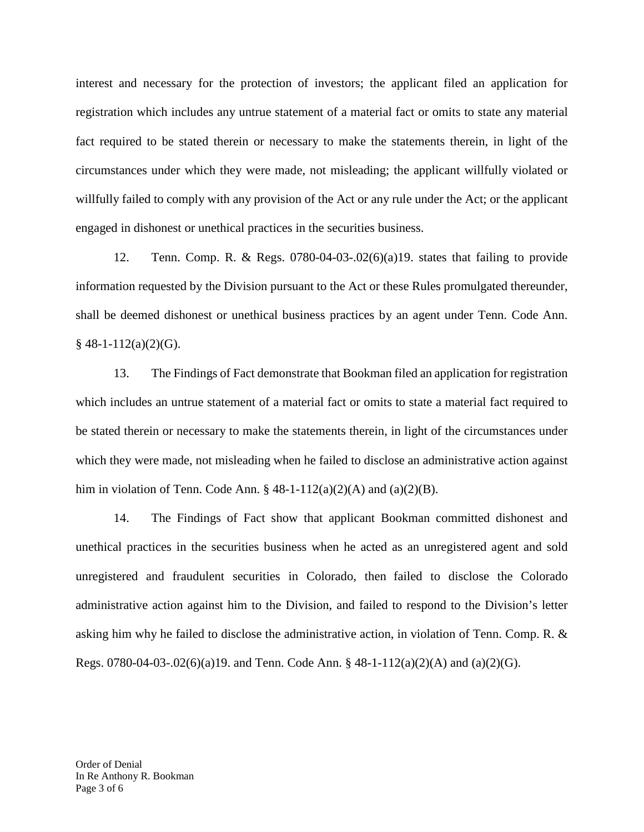interest and necessary for the protection of investors; the applicant filed an application for registration which includes any untrue statement of a material fact or omits to state any material fact required to be stated therein or necessary to make the statements therein, in light of the circumstances under which they were made, not misleading; the applicant willfully violated or willfully failed to comply with any provision of the Act or any rule under the Act; or the applicant engaged in dishonest or unethical practices in the securities business.

12. Tenn. Comp. R. & Regs. 0780-04-03-.02(6)(a)19. states that failing to provide information requested by the Division pursuant to the Act or these Rules promulgated thereunder, shall be deemed dishonest or unethical business practices by an agent under Tenn. Code Ann.  $§$  48-1-112(a)(2)(G).

13. The Findings of Fact demonstrate that Bookman filed an application for registration which includes an untrue statement of a material fact or omits to state a material fact required to be stated therein or necessary to make the statements therein, in light of the circumstances under which they were made, not misleading when he failed to disclose an administrative action against him in violation of Tenn. Code Ann.  $\S$  48-1-112(a)(2)(A) and (a)(2)(B).

14. The Findings of Fact show that applicant Bookman committed dishonest and unethical practices in the securities business when he acted as an unregistered agent and sold unregistered and fraudulent securities in Colorado, then failed to disclose the Colorado administrative action against him to the Division, and failed to respond to the Division's letter asking him why he failed to disclose the administrative action, in violation of Tenn. Comp. R. & Regs. 0780-04-03-.02(6)(a)19. and Tenn. Code Ann. § 48-1-112(a)(2)(A) and (a)(2)(G).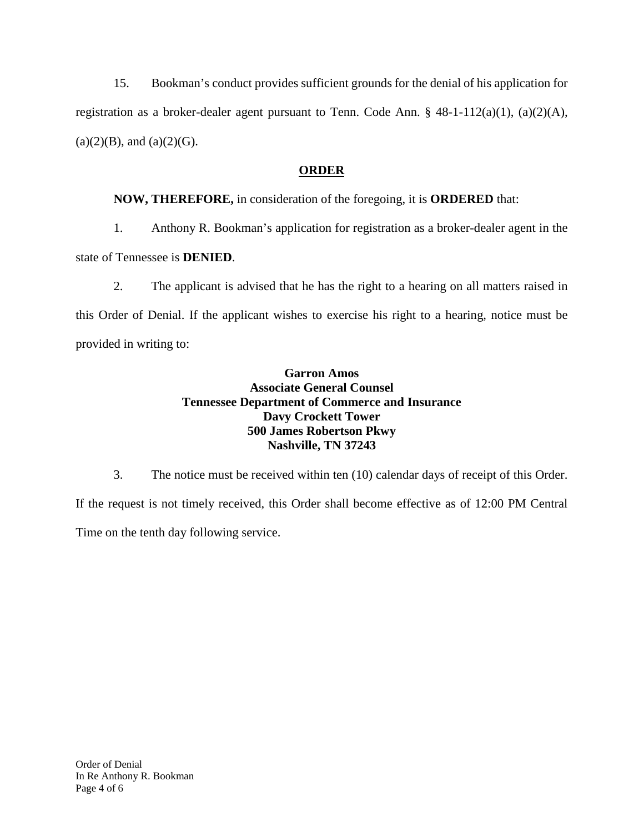15. Bookman's conduct provides sufficient grounds for the denial of his application for registration as a broker-dealer agent pursuant to Tenn. Code Ann. § 48-1-112(a)(1), (a)(2)(A),  $(a)(2)(B)$ , and  $(a)(2)(G)$ .

# **ORDER**

# **NOW, THEREFORE,** in consideration of the foregoing, it is **ORDERED** that:

1. Anthony R. Bookman's application for registration as a broker-dealer agent in the

state of Tennessee is **DENIED**.

2. The applicant is advised that he has the right to a hearing on all matters raised in this Order of Denial. If the applicant wishes to exercise his right to a hearing, notice must be provided in writing to:

## **Garron Amos Associate General Counsel Tennessee Department of Commerce and Insurance Davy Crockett Tower 500 James Robertson Pkwy Nashville, TN 37243**

3. The notice must be received within ten (10) calendar days of receipt of this Order. If the request is not timely received, this Order shall become effective as of 12:00 PM Central Time on the tenth day following service.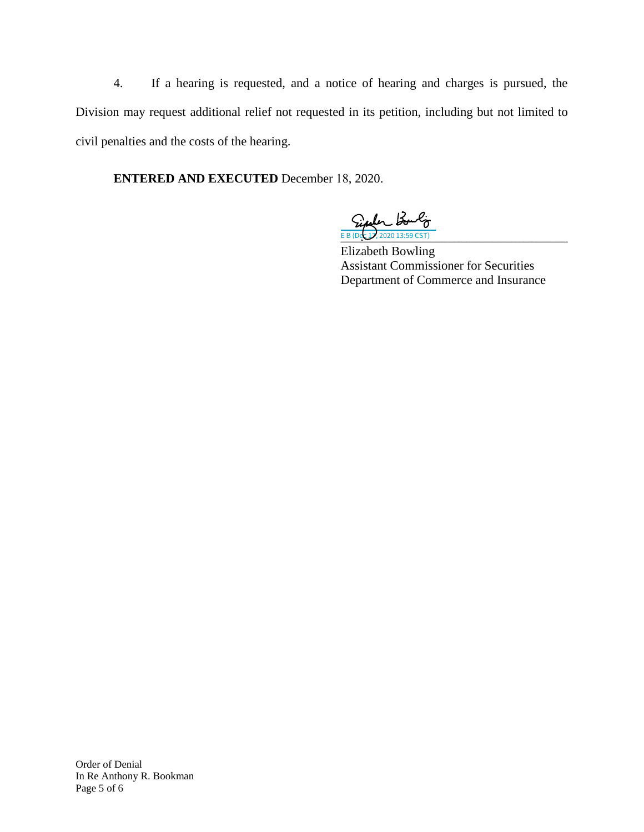4. If a hearing is requested, and a notice of hearing and charges is pursued, the Division may request additional relief not requested in its petition, including but not limited to civil penalties and the costs of the hearing.

**ENTERED AND EXECUTED** December 18, 2020.

E B (Dec 17, 2020 13:59 CST)

Elizabeth Bowling Assistant Commissioner for Securities Department of Commerce and Insurance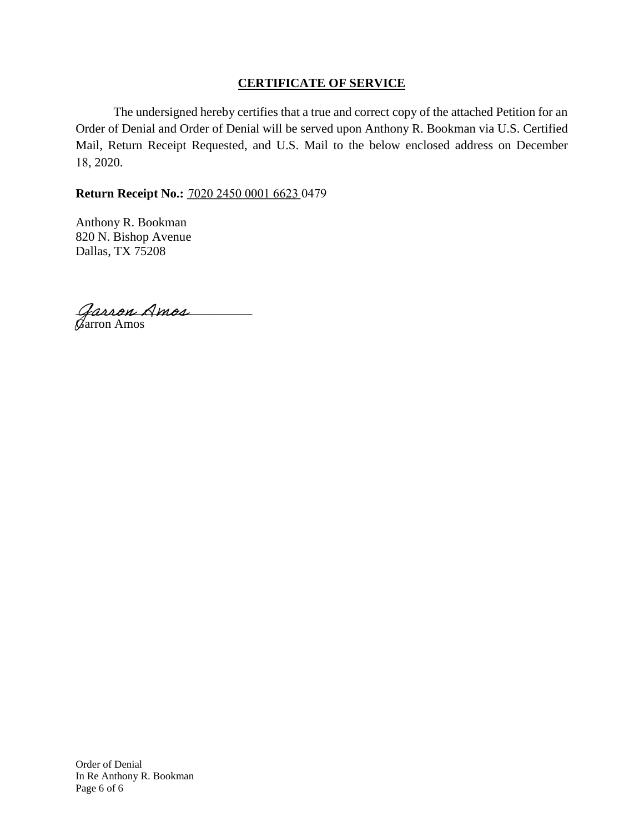## **CERTIFICATE OF SERVICE**

The undersigned hereby certifies that a true and correct copy of the attached Petition for an Order of Denial and Order of Denial will be served upon Anthony R. Bookman via U.S. Certified Mail, Return Receipt Requested, and U.S. Mail to the below enclosed address on December 18, 2020.

## **Return Receipt No.: \_\_\_\_\_\_\_\_\_\_\_\_\_\_\_\_\_\_**  7020 2450 0001 6623 0479

Anthony R. Bookman 820 N. Bishop Avenue Dallas, TX 75208

Garron Amos Garron Amos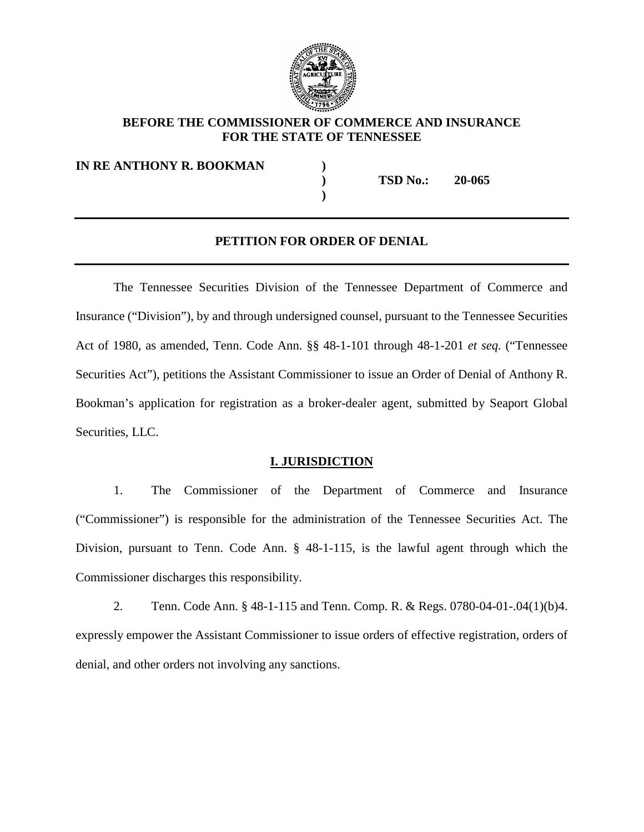

### **BEFORE THE COMMISSIONER OF COMMERCE AND INSURANCE FOR THE STATE OF TENNESSEE**

**IN RE ANTHONY R. BOOKMAN )**

**) TSD No.: 20-065**

#### **PETITION FOR ORDER OF DENIAL**

**)** 

The Tennessee Securities Division of the Tennessee Department of Commerce and Insurance ("Division"), by and through undersigned counsel, pursuant to the Tennessee Securities Act of 1980, as amended, Tenn. Code Ann. §§ 48-1-101 through 48-1-201 *et seq.* ("Tennessee Securities Act"), petitions the Assistant Commissioner to issue an Order of Denial of Anthony R. Bookman's application for registration as a broker-dealer agent, submitted by Seaport Global Securities, LLC.

#### **I. JURISDICTION**

1. The Commissioner of the Department of Commerce and Insurance ("Commissioner") is responsible for the administration of the Tennessee Securities Act. The Division, pursuant to Tenn. Code Ann. § 48-1-115, is the lawful agent through which the Commissioner discharges this responsibility.

2. Tenn. Code Ann. § 48-1-115 and Tenn. Comp. R. & Regs. 0780-04-01-.04(1)(b)4. expressly empower the Assistant Commissioner to issue orders of effective registration, orders of denial, and other orders not involving any sanctions.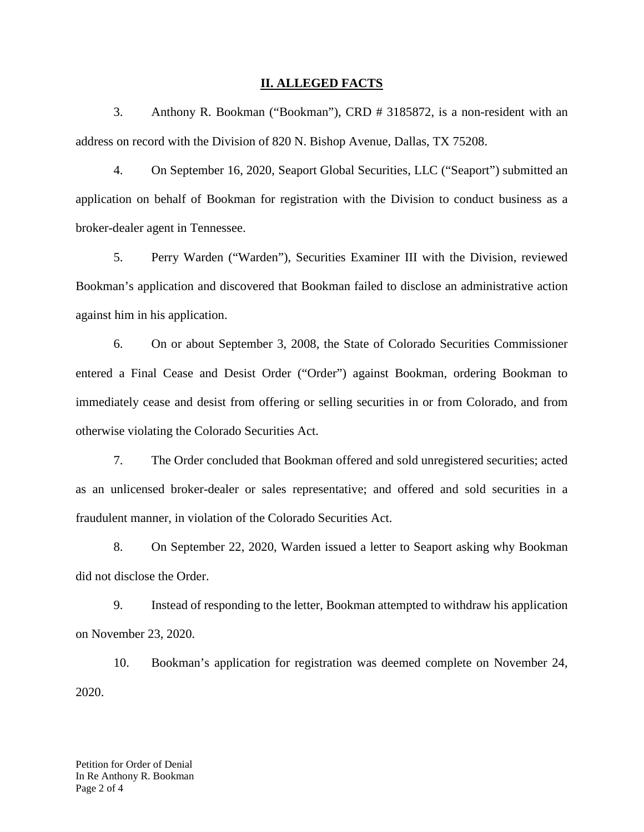#### **II. ALLEGED FACTS**

3. Anthony R. Bookman ("Bookman"), CRD # 3185872, is a non-resident with an address on record with the Division of 820 N. Bishop Avenue, Dallas, TX 75208.

4. On September 16, 2020, Seaport Global Securities, LLC ("Seaport") submitted an application on behalf of Bookman for registration with the Division to conduct business as a broker-dealer agent in Tennessee.

5. Perry Warden ("Warden"), Securities Examiner III with the Division, reviewed Bookman's application and discovered that Bookman failed to disclose an administrative action against him in his application.

6. On or about September 3, 2008, the State of Colorado Securities Commissioner entered a Final Cease and Desist Order ("Order") against Bookman, ordering Bookman to immediately cease and desist from offering or selling securities in or from Colorado, and from otherwise violating the Colorado Securities Act.

7. The Order concluded that Bookman offered and sold unregistered securities; acted as an unlicensed broker-dealer or sales representative; and offered and sold securities in a fraudulent manner, in violation of the Colorado Securities Act.

8. On September 22, 2020, Warden issued a letter to Seaport asking why Bookman did not disclose the Order.

9. Instead of responding to the letter, Bookman attempted to withdraw his application on November 23, 2020.

10. Bookman's application for registration was deemed complete on November 24, 2020.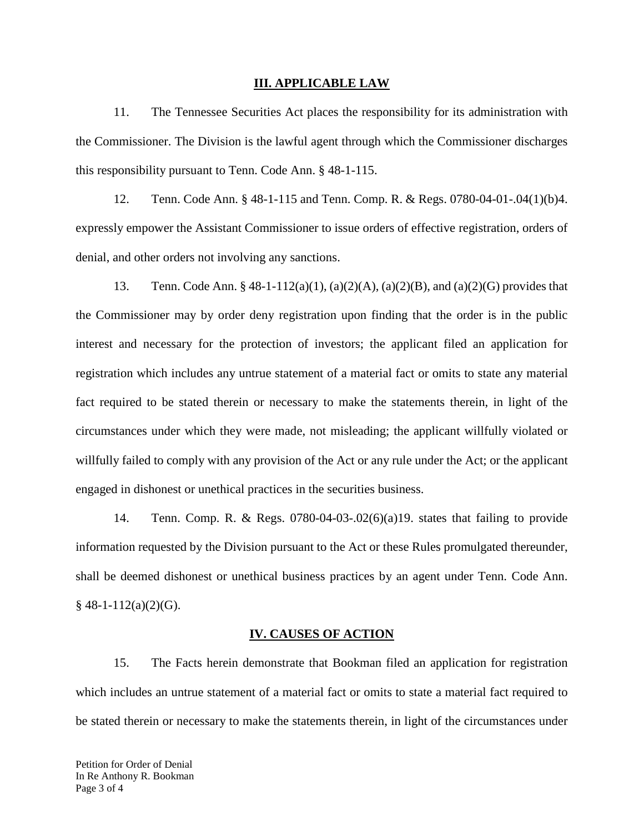#### **III. APPLICABLE LAW**

11. The Tennessee Securities Act places the responsibility for its administration with the Commissioner. The Division is the lawful agent through which the Commissioner discharges this responsibility pursuant to Tenn. Code Ann. § 48-1-115.

12. Tenn. Code Ann. § 48-1-115 and Tenn. Comp. R. & Regs. 0780-04-01-.04(1)(b)4. expressly empower the Assistant Commissioner to issue orders of effective registration, orders of denial, and other orders not involving any sanctions.

13. Tenn. Code Ann. § 48-1-112(a)(1), (a)(2)(A), (a)(2)(B), and (a)(2)(G) provides that the Commissioner may by order deny registration upon finding that the order is in the public interest and necessary for the protection of investors; the applicant filed an application for registration which includes any untrue statement of a material fact or omits to state any material fact required to be stated therein or necessary to make the statements therein, in light of the circumstances under which they were made, not misleading; the applicant willfully violated or willfully failed to comply with any provision of the Act or any rule under the Act; or the applicant engaged in dishonest or unethical practices in the securities business.

14. Tenn. Comp. R. & Regs. 0780-04-03-.02(6)(a)19. states that failing to provide information requested by the Division pursuant to the Act or these Rules promulgated thereunder, shall be deemed dishonest or unethical business practices by an agent under Tenn. Code Ann.  $§$  48-1-112(a)(2)(G).

#### **IV. CAUSES OF ACTION**

15. The Facts herein demonstrate that Bookman filed an application for registration which includes an untrue statement of a material fact or omits to state a material fact required to be stated therein or necessary to make the statements therein, in light of the circumstances under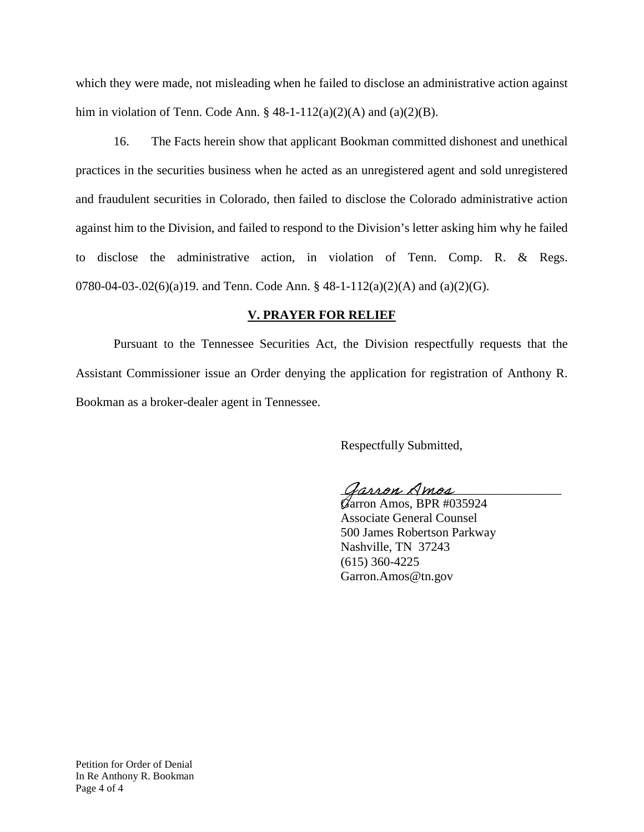which they were made, not misleading when he failed to disclose an administrative action against him in violation of Tenn. Code Ann.  $\S$  48-1-112(a)(2)(A) and (a)(2)(B).

16. The Facts herein show that applicant Bookman committed dishonest and unethical practices in the securities business when he acted as an unregistered agent and sold unregistered and fraudulent securities in Colorado, then failed to disclose the Colorado administrative action against him to the Division, and failed to respond to the Division's letter asking him why he failed to disclose the administrative action, in violation of Tenn. Comp. R. & Regs. 0780-04-03-.02(6)(a)19. and Tenn. Code Ann. § 48-1-112(a)(2)(A) and (a)(2)(G).

## **V. PRAYER FOR RELIEF**

Pursuant to the Tennessee Securities Act, the Division respectfully requests that the Assistant Commissioner issue an Order denying the application for registration of Anthony R. Bookman as a broker-dealer agent in Tennessee.

Respectfully Submitted,

Jarron Amos

Garron Amos, BPR #035924 Associate General Counsel 500 James Robertson Parkway Nashville, TN 37243 (615) 360-4225 Garron.Amos@tn.gov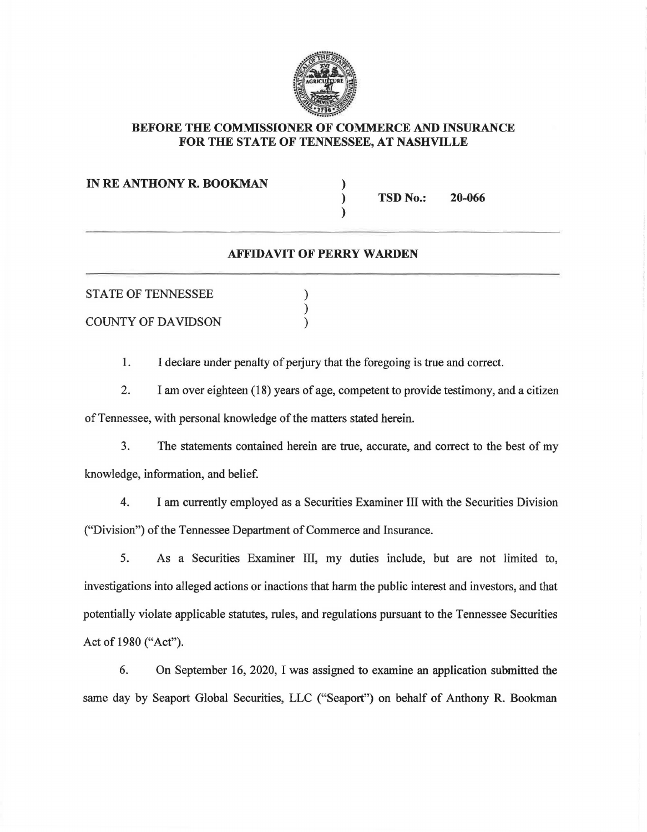

## BEFORE THE COMMISSIONER OF COMMERCE AND INSURANCE FOR THE STATE OF TENNESSEE, AT NASHVILLE

### IN RE ANTHONY R. BOOKMAN )

TSD No.: 20-066

### AFFIDAVIT OF PERRY WARDEN

) )

| <b>STATE OF TENNESSEE</b><br><b>COUNTY OF DAVIDSON</b> |  |
|--------------------------------------------------------|--|
|                                                        |  |
|                                                        |  |

1. I declare under penalty of perjury that the foregoing is true and correct.

2. I am over eighteen (18) years of age, competent to provide testimony, and a citizen of Tennessee, with personal knowledge of the matters stated herein.

3. The statements contained herein are true, accurate, and correct to the best of my knowledge, information, and belief.

4. I am currently employed as a Securities Examiner III with the Securities Division ("Division") of the Tennessee Department of Commerce and Insurance.

5. As a Securities Examiner III, my duties include, but are not limited to, investigations into alleged actions or inactions that harm the public interest and investors, and that potentially violate applicable statutes, rules, and regulations pursuant to the Tennessee Securities Act of 1980 ("Act").

6. On September 16, 2020, I was assigned to examine an application submitted the same day by Seaport Global Securities, LLC ("Seaport") on behalf of Anthony R. Bookman